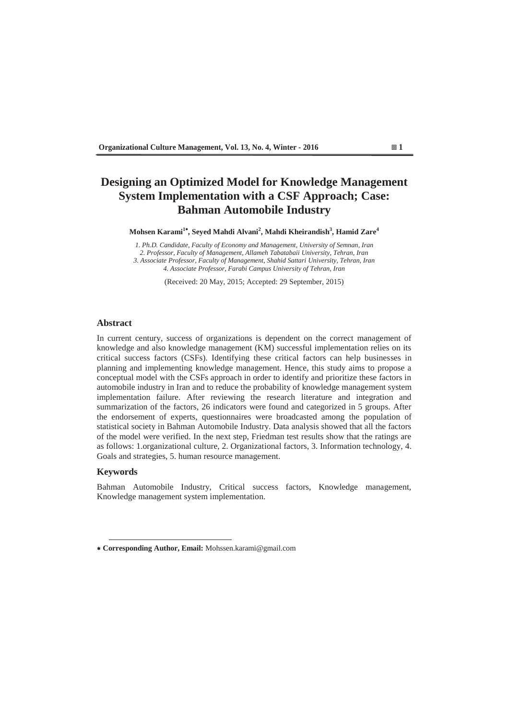# **Designing an Optimized Model for Knowledge Management System Implementation with a CSF Approach; Case: Bahman Automobile Industry**

**Mohsen Karami<sup>1</sup> , Seyed Mahdi Alvani<sup>2</sup> , Mahdi Kheirandish3 , Hamid Zare<sup>4</sup>**

*1. Ph.D. Candidate, Faculty of Economy and Management, University of Semnan, Iran 2. Professor, Faculty of Management, Allameh Tabatabaii University, Tehran, Iran 3. Associate Professor, Faculty of Management, Shahid Sattari University, Tehran, Iran 4. Associate Professor, Farabi Campus University of Tehran, Iran* 

(Received: 20 May, 2015; Accepted: 29 September, 2015)

#### **Abstract**

In current century, success of organizations is dependent on the correct management of knowledge and also knowledge management (KM) successful implementation relies on its critical success factors (CSFs). Identifying these critical factors can help businesses in planning and implementing knowledge management. Hence, this study aims to propose a conceptual model with the CSFs approach in order to identify and prioritize these factors in automobile industry in Iran and to reduce the probability of knowledge management system implementation failure. After reviewing the research literature and integration and summarization of the factors, 26 indicators were found and categorized in 5 groups. After the endorsement of experts, questionnaires were broadcasted among the population of statistical society in Bahman Automobile Industry. Data analysis showed that all the factors of the model were verified. In the next step, Friedman test results show that the ratings are as follows: 1.organizational culture, 2. Organizational factors, 3. Information technology, 4. Goals and strategies, 5. human resource management.

## **Keywords**

Bahman Automobile Industry, Critical success factors, Knowledge management, Knowledge management system implementation.

 **Corresponding Author, Email:** Mohssen.karami@gmail.com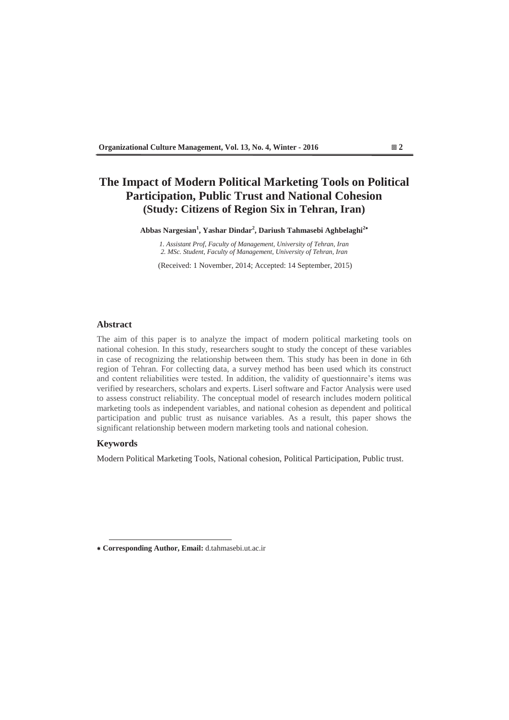# **The Impact of Modern Political Marketing Tools on Political Participation, Public Trust and National Cohesion (Study: Citizens of Region Six in Tehran, Iran)**

**Abbas Nargesian1 , Yashar Dindar<sup>2</sup> , Dariush Tahmasebi Aghbelaghi<sup>2</sup>**

*1. Assistant Prof, Faculty of Management, University of Tehran, Iran 2. MSc. Student, Faculty of Management, University of Tehran, Iran* 

(Received: 1 November, 2014; Accepted: 14 September, 2015)

## **Abstract**

The aim of this paper is to analyze the impact of modern political marketing tools on national cohesion In this study, researchers sought to study the concept of these variables in case of recognizing the relationship between them. This study has been in done in 6th region of Tehran. For collecting data, a survey method has been used which its construct and content reliabilities were tested. In addition, the validity of questionnaire's items was verified by researchers, scholars and experts. Liserl software and Factor Analysis were used to assess construct reliability. The conceptual model of research includes modern political marketing tools as independent variables, and national cohesion as dependent and political participation and public trust as nuisance variables. As a result, this paper shows the significant relationship between modern marketing tools and national cohesion.

## **Keywords**

Modern Political Marketing Tools, National cohesion, Political Participation, Public trust.

 **Corresponding Author, Email:** d.tahmasebi.ut.ac.ir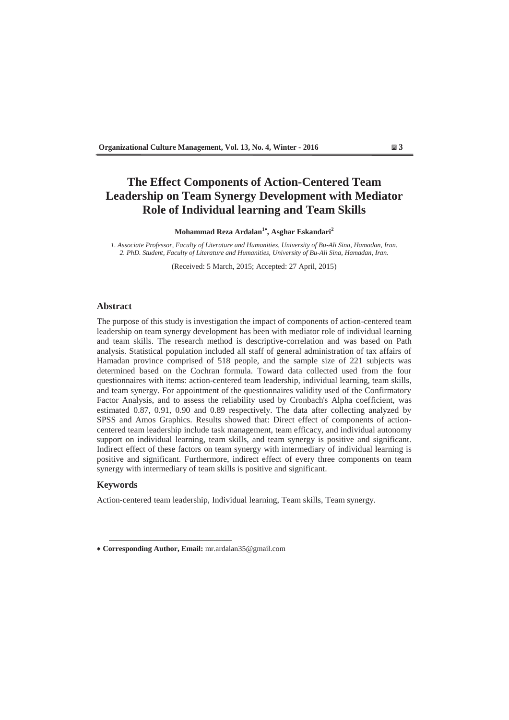# **The Effect Components of Action-Centered Team Leadership on Team Synergy Development with Mediator Role of Individual learning and Team Skills**

**Mohammad Reza Ardalan1 , Asghar Eskandari<sup>2</sup>**

*1. Associate Professor, Faculty of Literature and Humanities, University of Bu-Ali Sina, Hamadan, Iran. 2. PhD. Student, Faculty of Literature and Humanities, University of Bu-Ali Sina, Hamadan, Iran.* 

(Received: 5 March, 2015; Accepted: 27 April, 2015)

### **Abstract**

The purpose of this study is investigation the impact of components of action-centered team leadership on team synergy development has been with mediator role of individual learning and team skills. The research method is descriptive-correlation and was based on Path analysis. Statistical population included all staff of general administration of tax affairs of Hamadan province comprised of 518 people, and the sample size of 221 subjects was determined based on the Cochran formula. Toward data collected used from the four questionnaires with items: action-centered team leadership, individual learning, team skills, and team synergy. For appointment of the questionnaires validity used of the Confirmatory Factor Analysis, and to assess the reliability used by Cronbach's Alpha coefficient, was estimated 0.87, 0.91, 0.90 and 0.89 respectively. The data after collecting analyzed by SPSS and Amos Graphics. Results showed that: Direct effect of components of actioncentered team leadership include task management, team efficacy, and individual autonomy support on individual learning, team skills, and team synergy is positive and significant. Indirect effect of these factors on team synergy with intermediary of individual learning is positive and significant. Furthermore, indirect effect of every three components on team synergy with intermediary of team skills is positive and significant.

## **Keywords**

Action-centered team leadership, Individual learning, Team skills, Team synergy.

 **Corresponding Author, Email:** mr.ardalan35@gmail.com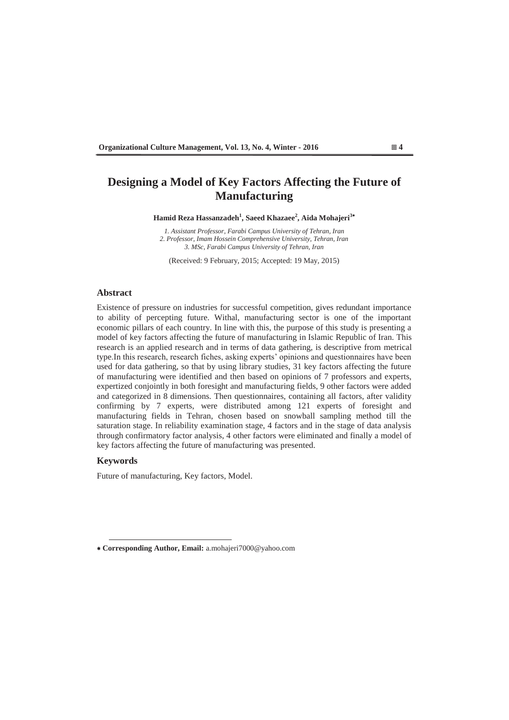# **Designing a Model of Key Factors Affecting the Future of Manufacturing**

**Hamid Reza Hassanzadeh<sup>1</sup> , Saeed Khazaee<sup>2</sup> , Aida Mohajeri<sup>3</sup>**

*1. Assistant Professor, Farabi Campus University of Tehran, Iran 2. Professor, Imam Hossein Comprehensive University, Tehran, Iran 3. MSc, Farabi Campus University of Tehran, Iran* 

(Received: 9 February, 2015; Accepted: 19 May, 2015)

#### **Abstract**

Existence of pressure on industries for successful competition, gives redundant importance to ability of percepting future. Withal, manufacturing sector is one of the important economic pillars of each country. In line with this, the purpose of this study is presenting a model of key factors affecting the future of manufacturing in Islamic Republic of Iran. This research is an applied research and in terms of data gathering, is descriptive from metrical type.In this research, research fiches, asking experts' opinions and questionnaires have been used for data gathering, so that by using library studies, 31 key factors affecting the future of manufacturing were identified and then based on opinions of 7 professors and experts, expertized conjointly in both foresight and manufacturing fields, 9 other factors were added and categorized in 8 dimensions. Then questionnaires, containing all factors, after validity confirming by 7 experts, were distributed among 121 experts of foresight and manufacturing fields in Tehran, chosen based on snowball sampling method till the saturation stage. In reliability examination stage, 4 factors and in the stage of data analysis through confirmatory factor analysis, 4 other factors were eliminated and finally a model of key factors affecting the future of manufacturing was presented.

## **Keywords**

Future of manufacturing, Key factors, Model.



 **Corresponding Author, Email:** a.mohajeri7000@yahoo.com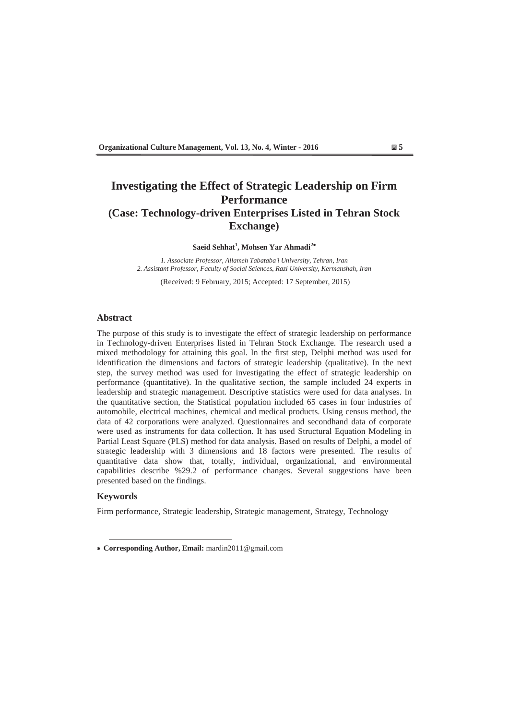# **Investigating the Effect of Strategic Leadership on Firm Performance (Case: Technology-driven Enterprises Listed in Tehran Stock Exchange)**

**Saeid Sehhat<sup>1</sup> , Mohsen Yar Ahmadi<sup>2</sup>**

*1. Associate Professor, Allameh Tabataba'i University, Tehran, Iran 2. Assistant Professor, Faculty of Social Sciences Razi University, Kermanshah, Iran* 

(Received: 9 February, 2015; Accepted: 17 September, 2015)

## **Abstract**

The purpose of this study is to investigate the effect of strategic leadership on performance in Technology-driven Enterprises listed in Tehran Stock Exchange. The research used a mixed methodology for attaining this goal. In the first step, Delphi method was used for identification the dimensions and factors of strategic leadership (qualitative). In the next step, the survey method was used for investigating the effect of strategic leadership on performance (quantitative). In the qualitative section, the sample included 24 experts in leadership and strategic management. Descriptive statistics were used for data analyses. In the quantitative section, the Statistical population included 65 cases in four industries of automobile, electrical machines, chemical and medical products. Using census method, the data of 42 corporations were analyzed. Questionnaires and secondhand data of corporate were used as instruments for data collection. It has used Structural Equation Modeling in Partial Least Square (PLS) method for data analysis. Based on results of Delphi, a model of strategic leadership with 3 dimensions and 18 factors were presented. The results of quantitative data show that, totally, individual, organizational, and environmental capabilities describe %29.2 of performance changes. Several suggestions have been presented based on the findings.

### **Keywords**

Firm performance, Strategic leadership, Strategic management, Strategy, Technology

 **Corresponding Author, Email:** mardin2011@gmail.com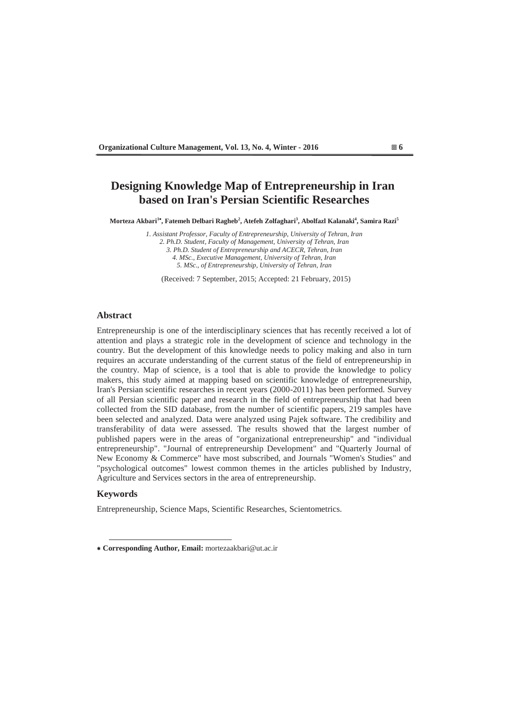# **Designing Knowledge Map of Entrepreneurship in Iran based on Iran's Persian Scientific Researches**

**Morteza Akbari<sup>1</sup> , Fatemeh Delbari Ragheb<sup>2</sup> , Atefeh Zolfaghari3 , Abolfazl Kalanaki<sup>4</sup> , Samira Razi<sup>5</sup>**

*1. Assistant Professor, Faculty of Entrepreneurship, University of Tehran, Iran 2. Ph.D. Student, Faculty of Management, University of Tehran, Iran 3. Ph.D. Student of Entrepreneurship and ACECR, Tehran, Iran 4. MSc., Executive Management, University of Tehran, Iran 5. MSc., of Entrepreneurship, University of Tehran, Iran* 

(Received: 7 September, 2015; Accepted: 21 February, 2015)

## **Abstract**

Entrepreneurship is one of the interdisciplinary sciences that has recently received a lot of attention and plays a strategic role in the development of science and technology in the country. But the development of this knowledge needs to policy making and also in turn requires an accurate understanding of the current status of the field of entrepreneurship in the country. Map of science, is a tool that is able to provide the knowledge to policy makers, this study aimed at mapping based on scientific knowledge of entrepreneurship, Iran's Persian scientific researches in recent years (2000-2011) has been performed. Survey of all Persian scientific paper and research in the field of entrepreneurship that had been collected from the SID database, from the number of scientific papers, 219 samples have been selected and analyzed. Data were analyzed using Pajek software. The credibility and transferability of data were assessed. The results showed that the largest number of published papers were in the areas of "organizational entrepreneurship" and "individual entrepreneurship". "Journal of entrepreneurship Development" and "Quarterly Journal of New Economy & Commerce" have most subscribed, and Journals "Women's Studies" and "psychological outcomes" lowest common themes in the articles published by Industry, Agriculture and Services sectors in the area of entrepreneurship.

#### **Keywords**

Entrepreneurship, Science Maps, Scientific Researches, Scientometrics.

 **Corresponding Author, Email:** mortezaakbari@ut.ac.ir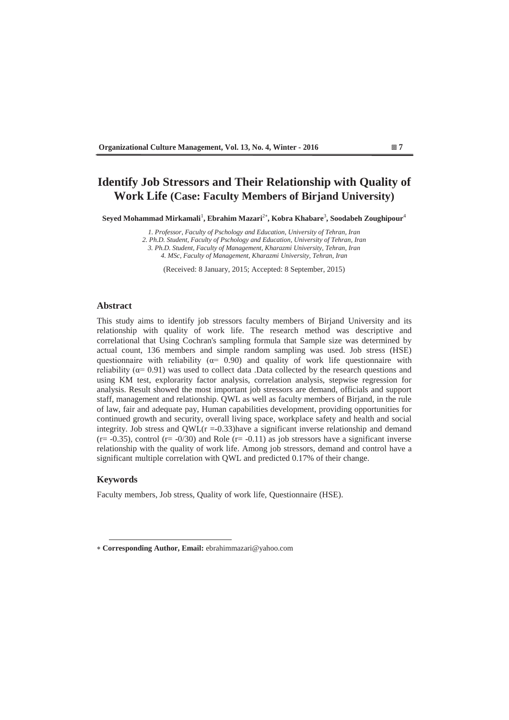# **Identify Job Stressors and Their Relationship with Quality of Work Life (Case: Faculty Members of Birjand University)**

**Seyed Mohammad Mirkamali**<sup>1</sup> **, Ebrahim Mazari**<sup>2</sup> **, Kobra Khabare**<sup>3</sup> **, Soodabeh Zoughipour**<sup>4</sup>

*1. Professor, Faculty of Pschology and Education, University of Tehran, Iran* 

*2. Ph.D. Student, Faculty of Pschology and Education, University of Tehran, Iran* 

*3. Ph.D. Student, Faculty of Management, Kharazmi University, Tehran, Iran* 

*4. MSc, Faculty of Management, Kharazmi University, Tehran, Iran* 

(Received: 8 January, 2015; Accepted: 8 September, 2015)

## **Abstract**

This study aims to identify job stressors faculty members of Birjand University and its relationship with quality of work life. The research method was descriptive and correlational that Using Cochran's sampling formula that Sample size was determined by actual count, 136 members and simple random sampling was used. Job stress (HSE) questionnaire with reliability ( $\alpha$ = 0.90) and quality of work life questionnaire with reliability ( $\alpha$ = 0.91) was used to collect data .Data collected by the research questions and using KM test, explorarity factor analysis, correlation analysis, stepwise regression for analysis. Result showed the most important job stressors are demand, officials and support staff, management and relationship. QWL as well as faculty members of Birjand, in the rule of law, fair and adequate pay, Human capabilities development, providing opportunities for continued growth and security, overall living space, workplace safety and health and social integrity. Job stress and  $QWL(r = 0.33)$  have a significant inverse relationship and demand  $(r=-0.35)$ , control  $(r=-0/30)$  and Role  $(r=-0.11)$  as job stressors have a significant inverse relationship with the quality of work life. Among job stressors, demand and control have a significant multiple correlation with QWL and predicted 0.17% of their change.

### **Keywords**

Faculty members, Job stress, Quality of work life, Questionnaire (HSE).

 **Corresponding Author, Email:** ebrahimmazari@yahoo.com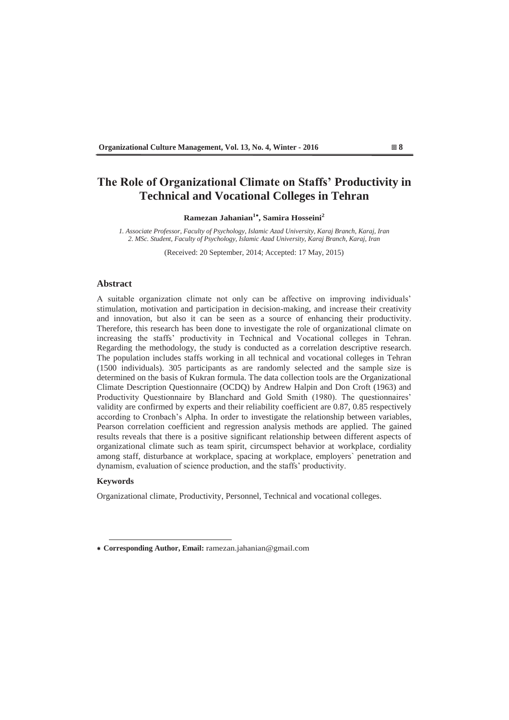# **7he Role of Organizational Climate on Staffs' Productivity in Technical and Vocational Colleges in Tehran**

## **Ramezan Jahanian<sup>1</sup> , Samira Hosseini<sup>2</sup>**

*1. Associate Professor, Faculty of Psychology, Islamic Azad University, Karaj Branch, Karaj, Iran 2. MSc. Student, Faculty of Psychology, Islamic Azad University, Karaj Branch, Karaj, Iran* 

(Received: 20 September, 2014; Accepted: 17 May, 2015)

## **Abstract**

A suitable organization climate not only can be affective on improving individuals' stimulation, motivation and participation in decision-making, and increase their creativity and innovation, but also it can be seen as a source of enhancing their productivity. Therefore, this research has been done to investigate the role of organizational climate on increasing the staffs' productivity in Technical and Vocational colleges in Tehran. Regarding the methodology, the study is conducted as a correlation descriptive research. The population includes staffs working in all technical and vocational colleges in Tehran (1500 individuals). 305 participants as are randomly selected and the sample size is determined on the basis of Kukran formula. The data collection tools are the Organizational Climate Description Questionnaire (OCDQ) by Andrew Halpin and Don Croft (1963) and Productivity Questionnaire by Blanchard and Gold Smith (1980). The questionnaires' validity are confirmed by experts and their reliability coefficient are 0.87, 0.85 respectively according to Cronbach's Alpha. In order to investigate the relationship between variables, Pearson correlation coefficient and regression analysis methods are applied. The gained results reveals that there is a positive significant relationship between different aspects of organizational climate such as team spirit, circumspect behavior at workplace, cordiality among staff, disturbance at workplace, spacing at workplace, employers` penetration and dynamism, evaluation of science production, and the staffs' productivity.

### **Keywords**

Organizational climate, Productivity, Personnel, Technical and vocational colleges.

 **Corresponding Author, Email:** ramezan.jahanian@gmail.com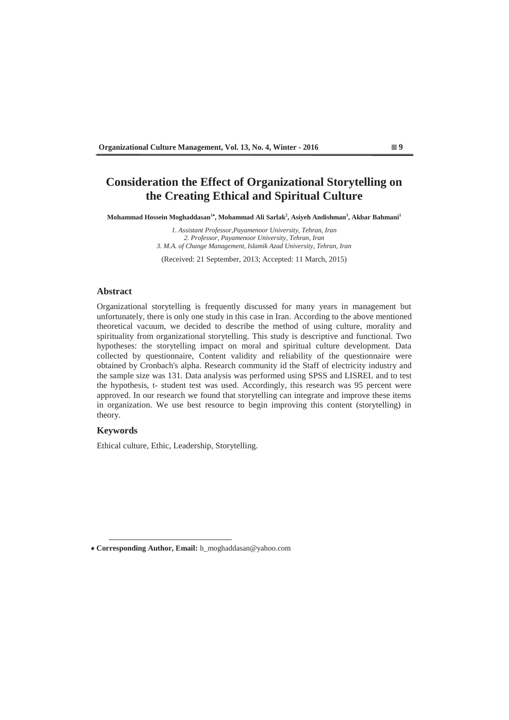# **Consideration the Effect of Organizational Storytelling on the Creating Ethical and Spiritual Culture**

**Mohammad Hossein Moghaddasan1 , Mohammad Ali Sarlak2 , Asiyeh Andishman<sup>3</sup> , Akbar Bahmani<sup>1</sup>**

*1. Assistant Professor,Payamenoor University, Tehran, Iran 2. Professor, Payamenoor University, Tehran, Iran 3. M.A. of Change Management, Islamik Azad University, Tehran, Iran* 

(Received: 21 September, 2013; Accepted: 11 March, 2015)

### **Abstract**

Organizational storytelling is frequently discussed for many years in management but unfortunately, there is only one study in this case in Iran. According to the above mentioned theoretical vacuum, we decided to describe the method of using culture, morality and spirituality from organizational storytelling. This study is descriptive and functional. Two hypotheses: the storytelling impact on moral and spiritual culture development. Data collected by questionnaire, Content validity and reliability of the questionnaire were obtained by Cronbach's alpha. Research community id the Staff of electricity industry and the sample size was 131. Data analysis was performed using SPSS and LISREL and to test the hypothesis, t- student test was used. Accordingly, this research was 95 percent were approved. In our research we found that storytelling can integrate and improve these items in organization. We use best resource to begin improving this content (storytelling) in theory.

## **Keywords**

Ethical culture, Ethic, Leadership, Storytelling.



 **Corresponding Author, Email:** h\_moghaddasan@yahoo.com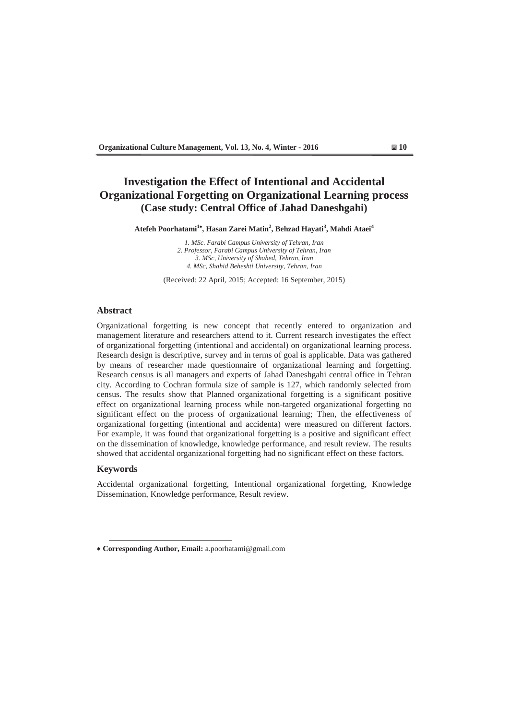# **Investigation the Effect of Intentional and Accidental Organizational Forgetting on Organizational Learning process (Case study: Central Office of Jahad Daneshgahi)**

**Atefeh Poorhatami<sup>1</sup> , Hasan Zarei Matin<sup>2</sup> , Behzad Hayati<sup>3</sup> , Mahdi Ataei<sup>4</sup>**

*1. MSc. Farabi Campus University of Tehran, Iran 2. Professor, Farabi Campus University of Tehran, Iran 3. MSc, University of Shahed, Tehran, Iran 4. MSc, Shahid Beheshti University, Tehran, Iran* 

(Received: 22 April, 2015; Accepted: 16 September, 2015)

#### **Abstract**

Organizational forgetting is new concept that recently entered to organization and management literature and researchers attend to it. Current research investigates the effect of organizational forgetting (intentional and accidental) on organizational learning process. Research design is descriptive, survey and in terms of goal is applicable. Data was gathered by means of researcher made questionnaire of organizational learning and forgetting. Research census is all managers and experts of Jahad Daneshgahi central office in Tehran city. According to Cochran formula size of sample is 127, which randomly selected from census. The results show that Planned organizational forgetting is a significant positive effect on organizational learning process while non-targeted organizational forgetting no significant effect on the process of organizational learning; Then, the effectiveness of organizational forgetting (intentional and accidenta) were measured on different factors. For example, it was found that organizational forgetting is a positive and significant effect on the dissemination of knowledge, knowledge performance, and result review. The results showed that accidental organizational forgetting had no significant effect on these factors.

#### **Keywords**

Accidental organizational forgetting, Intentional organizational forgetting, Knowledge Dissemination, Knowledge performance, Result review.

 **Corresponding Author, Email:** a.poorhatami@gmail.com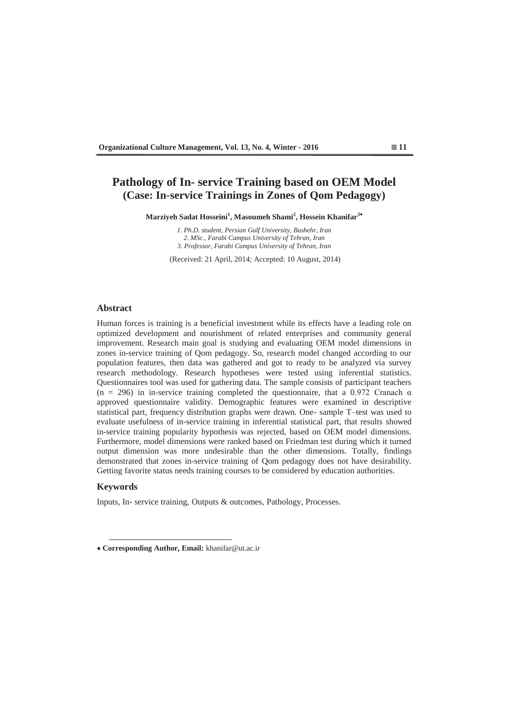# **Pathology of In- service Training based on OEM Model (Case: In-service Trainings in Zones of Qom Pedagogy)**

**Marziyeh Sadat Hosseini<sup>1</sup> , Masoumeh Shami<sup>2</sup> , Hossein Khanifar<sup>3</sup>**

*1. Ph.D. student, Persian Gulf University, Bushehr, Iran 2. MSc., Farabi Campus University of Tehran, Iran 3. Professor, Farabi Campus University of Tehran, Iran* 

(Received: 21 April, 2014; Accepted: 10 August, 2014)

#### **Abstract**

Human forces is training is a beneficial investment while its effects have a leading role on optimized development and nourishment of related enterprises and community general improvement. Research main goal is studying and evaluating OEM model dimensions in zones in-service training of Qom pedagogy. So, research model changed according to our population features, then data was gathered and got to ready to be analyzed via survey research methodology. Research hypotheses were tested using inferential statistics. Questionnaires tool was used for gathering data. The sample consists of participant teachers (n = 296) in in-service training completed the questionnaire, that a 0.972 Cranach  $\alpha$ approved questionnaire validity. Demographic features were examined in descriptive statistical part, frequency distribution graphs were drawn. One- sample T-test was used to evaluate usefulness of in-service training in inferential statistical part, that results showed in-service training popularity hypothesis was rejected, based on OEM model dimensions. Furthermore, model dimensions were ranked based on Friedman test during which it turned output dimension was more undesirable than the other dimensions. Totally, findings demonstrated that zones in-service training of Qom pedagogy does not have desirability. Getting favorite status needs training courses to be considered by education authorities.

## **Keywords**

Inputs, In- service training, Outputs & outcomes, Pathology, Processes.

 **Corresponding Author, Email:** khanifar@ut.ac.ir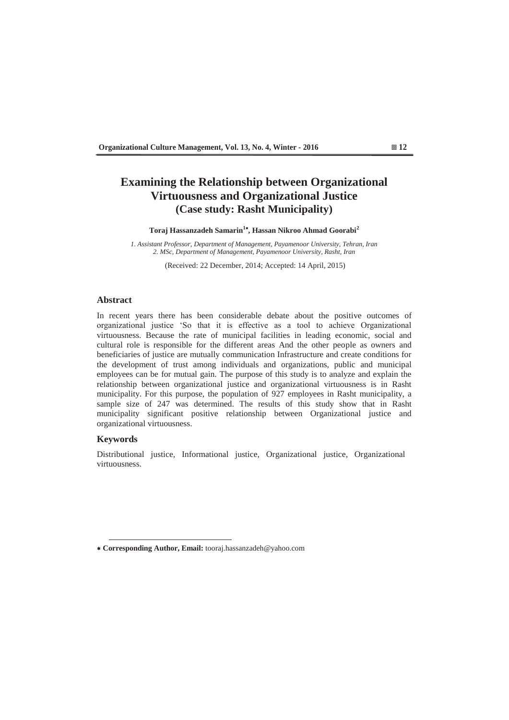# **Examining the Relationship between Organizational Virtuousness and Organizational Justice (Case study: Rasht Municipality)**

**Toraj Hassanzadeh Samarin<sup>1</sup> , Hassan Nikroo Ahmad Goorabi<sup>2</sup>**

*1. Assistant Professor, Department of Management, Payamenoor University, Tehran, Iran 2. MSc, Department of Management, Payamenoor University, Rasht, Iran*

(Received: 22 December, 2014; Accepted: 14 April, 2015)

### **Abstract**

In recent years there has been considerable debate about the positive outcomes of organizational justice 'So that it is effective as a tool to achieve Organizational virtuousness. Because the rate of municipal facilities in leading economic, social and cultural role is responsible for the different areas And the other people as owners and beneficiaries of justice are mutually communication Infrastructure and create conditions for the development of trust among individuals and organizations, public and municipal employees can be for mutual gain. The purpose of this study is to analyze and explain the relationship between organizational justice and organizational virtuousness is in Rasht municipality. For this purpose, the population of 927 employees in Rasht municipality, a sample size of 247 was determined. The results of this study show that in Rasht municipality significant positive relationship between Organizational justice and organizational virtuousness.

## **Keywords**

Distributional justice, Informational justice, Organizational justice, Organizational virtuousness.

 **Corresponding Author, Email:** tooraj.hassanzadeh@yahoo.com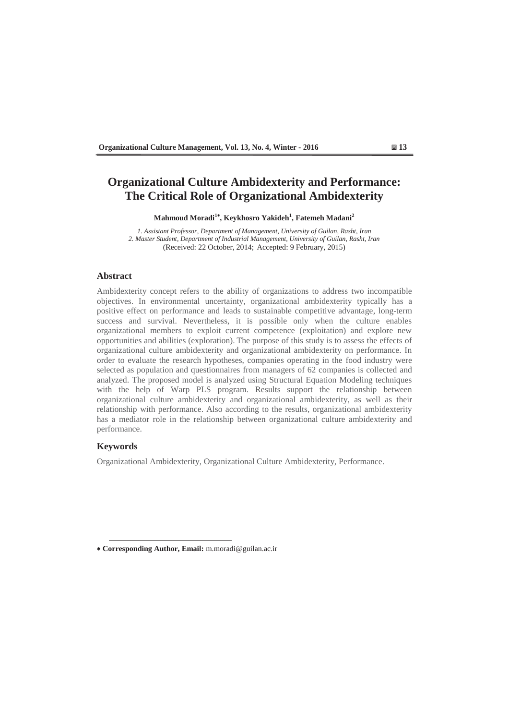# **Organizational Culture Ambidexterity and Performance: The Critical Role of Organizational Ambidexterity**

**Mahmoud Moradi<sup>1</sup> , Keykhosro Yakideh<sup>1</sup> , Fatemeh Madani<sup>2</sup>**

*1. Assistant Professor, Department of Management, University of Guilan, Rasht, Iran 2. Master Student, Department of Industrial Management, University of Guilan, Rasht, Iran*  (Received: 22 October, 2014; Accepted: 9 February, 2015)

# **Abstract**

Ambidexterity concept refers to the ability of organizations to address two incompatible objectives. In environmental uncertainty, organizational ambidexterity typically has a positive effect on performance and leads to sustainable competitive advantage, long-term success and survival. Nevertheless, it is possible only when the culture enables organizational members to exploit current competence (exploitation) and explore new opportunities and abilities (exploration). The purpose of this study is to assess the effects of organizational culture ambidexterity and organizational ambidexterity on performance. In order to evaluate the research hypotheses, companies operating in the food industry were selected as population and questionnaires from managers of 62 companies is collected and analyzed. The proposed model is analyzed using Structural Equation Modeling techniques with the help of Warp PLS program. Results support the relationship between organizational culture ambidexterity and organizational ambidexterity, as well as their relationship with performance. Also according to the results, organizational ambidexterity has a mediator role in the relationship between organizational culture ambidexterity and performance.

## **Keywords**

Organizational Ambidexterity, Organizational Culture Ambidexterity, Performance.

 **Corresponding Author, Email:** m.moradi@guilan.ac.ir